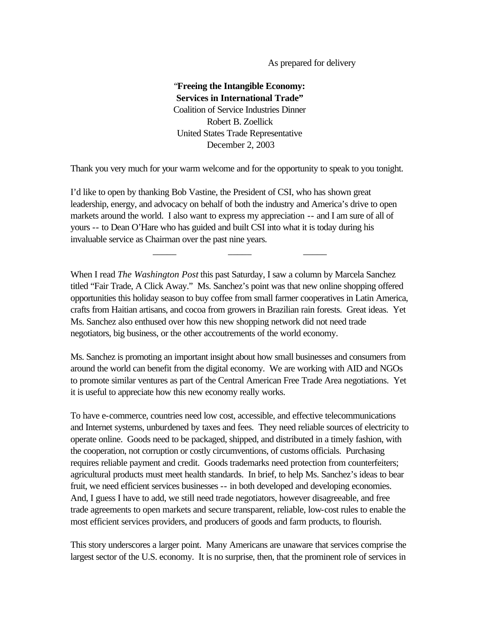As prepared for delivery

# "**Freeing the Intangible Economy: Services in International Trade"** Coalition of Service Industries Dinner Robert B. Zoellick United States Trade Representative December 2, 2003

Thank you very much for your warm welcome and for the opportunity to speak to you tonight.

I'd like to open by thanking Bob Vastine, the President of CSI, who has shown great leadership, energy, and advocacy on behalf of both the industry and America's drive to open markets around the world. I also want to express my appreciation -- and I am sure of all of yours -- to Dean O'Hare who has guided and built CSI into what it is today during his invaluable service as Chairman over the past nine years.

When I read *The Washington Post* this past Saturday, I saw a column by Marcela Sanchez titled "Fair Trade, A Click Away." Ms. Sanchez's point was that new online shopping offered opportunities this holiday season to buy coffee from small farmer cooperatives in Latin America, crafts from Haitian artisans, and cocoa from growers in Brazilian rain forests. Great ideas. Yet Ms. Sanchez also enthused over how this new shopping network did not need trade negotiators, big business, or the other accoutrements of the world economy.

\_\_\_\_\_ \_\_\_\_\_ \_\_\_\_\_

Ms. Sanchez is promoting an important insight about how small businesses and consumers from around the world can benefit from the digital economy. We are working with AID and NGOs to promote similar ventures as part of the Central American Free Trade Area negotiations. Yet it is useful to appreciate how this new economy really works.

To have e-commerce, countries need low cost, accessible, and effective telecommunications and Internet systems, unburdened by taxes and fees. They need reliable sources of electricity to operate online. Goods need to be packaged, shipped, and distributed in a timely fashion, with the cooperation, not corruption or costly circumventions, of customs officials. Purchasing requires reliable payment and credit. Goods trademarks need protection from counterfeiters; agricultural products must meet health standards. In brief, to help Ms. Sanchez's ideas to bear fruit, we need efficient services businesses -- in both developed and developing economies. And, I guess I have to add, we still need trade negotiators, however disagreeable, and free trade agreements to open markets and secure transparent, reliable, low-cost rules to enable the most efficient services providers, and producers of goods and farm products, to flourish.

This story underscores a larger point. Many Americans are unaware that services comprise the largest sector of the U.S. economy. It is no surprise, then, that the prominent role of services in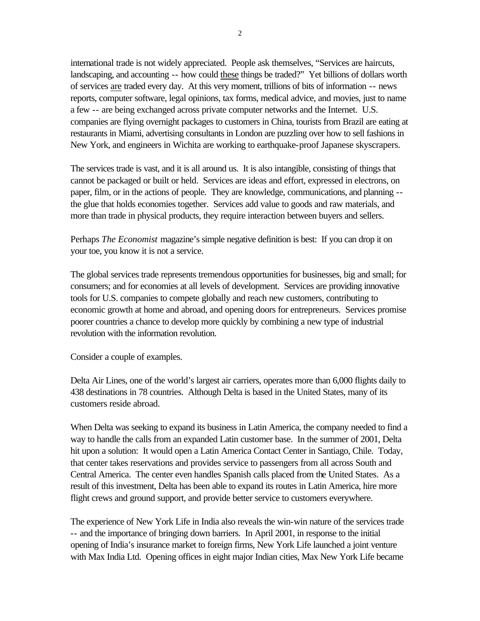international trade is not widely appreciated. People ask themselves, "Services are haircuts, landscaping, and accounting -- how could these things be traded?" Yet billions of dollars worth of services are traded every day. At this very moment, trillions of bits of information -- news reports, computer software, legal opinions, tax forms, medical advice, and movies, just to name a few -- are being exchanged across private computer networks and the Internet. U.S. companies are flying overnight packages to customers in China, tourists from Brazil are eating at restaurants in Miami, advertising consultants in London are puzzling over how to sell fashions in New York, and engineers in Wichita are working to earthquake-proof Japanese skyscrapers.

The services trade is vast, and it is all around us. It is also intangible, consisting of things that cannot be packaged or built or held. Services are ideas and effort, expressed in electrons, on paper, film, or in the actions of people. They are knowledge, communications, and planning - the glue that holds economies together. Services add value to goods and raw materials, and more than trade in physical products, they require interaction between buyers and sellers.

Perhaps *The Economist* magazine's simple negative definition is best: If you can drop it on your toe, you know it is not a service.

The global services trade represents tremendous opportunities for businesses, big and small; for consumers; and for economies at all levels of development. Services are providing innovative tools for U.S. companies to compete globally and reach new customers, contributing to economic growth at home and abroad, and opening doors for entrepreneurs. Services promise poorer countries a chance to develop more quickly by combining a new type of industrial revolution with the information revolution.

Consider a couple of examples.

Delta Air Lines, one of the world's largest air carriers, operates more than 6,000 flights daily to 438 destinations in 78 countries. Although Delta is based in the United States, many of its customers reside abroad.

When Delta was seeking to expand its business in Latin America, the company needed to find a way to handle the calls from an expanded Latin customer base. In the summer of 2001, Delta hit upon a solution: It would open a Latin America Contact Center in Santiago, Chile. Today, that center takes reservations and provides service to passengers from all across South and Central America. The center even handles Spanish calls placed from the United States. As a result of this investment, Delta has been able to expand its routes in Latin America, hire more flight crews and ground support, and provide better service to customers everywhere.

The experience of New York Life in India also reveals the win-win nature of the services trade -- and the importance of bringing down barriers. In April 2001, in response to the initial opening of India's insurance market to foreign firms, New York Life launched a joint venture with Max India Ltd. Opening offices in eight major Indian cities, Max New York Life became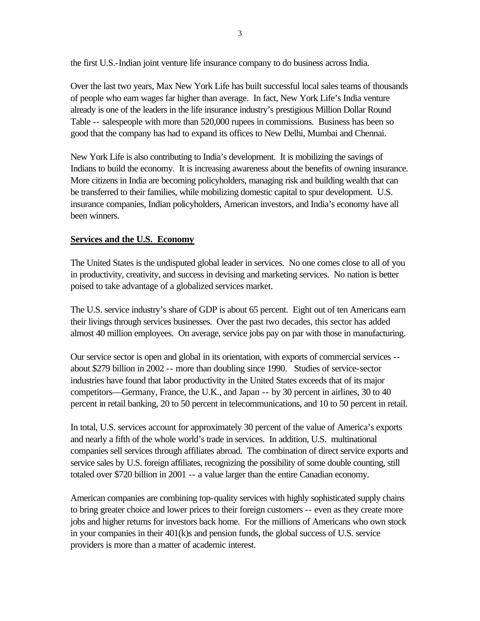the first U.S.-Indian joint venture life insurance company to do business across India.

Over the last two years, Max New York Life has built successful local sales teams of thousands of people who earn wages far higher than average. In fact, New York Life's India venture already is one of the leaders in the life insurance industry's prestigious Million Dollar Round Table -- salespeople with more than 520,000 rupees in commissions. Business has been so good that the company has had to expand its offices to New Delhi, Mumbai and Chennai.

New York Life is also contributing to India's development. It is mobilizing the savings of Indians to build the economy. It is increasing awareness about the benefits of owning insurance. More citizens in India are becoming policyholders, managing risk and building wealth that can be transferred to their families, while mobilizing domestic capital to spur development. U.S. insurance companies, Indian policyholders, American investors, and India's economy have all been winners.

## **Services and the U.S. Economy**

The United States is the undisputed global leader in services. No one comes close to all of you in productivity, creativity, and success in devising and marketing services. No nation is better poised to take advantage of a globalized services market.

The U.S. service industry's share of GDP is about 65 percent. Eight out of ten Americans earn their livings through services businesses. Over the past two decades, this sector has added almost 40 million employees. On average, service jobs pay on par with those in manufacturing.

Our service sector is open and global in its orientation, with exports of commercial services - about \$279 billion in 2002 -- more than doubling since 1990. Studies of service-sector industries have found that labor productivity in the United States exceeds that of its major competitors—Germany, France, the U.K., and Japan -- by 30 percent in airlines, 30 to 40 percent in retail banking, 20 to 50 percent in telecommunications, and 10 to 50 percent in retail.

In total, U.S. services account for approximately 30 percent of the value of America's exports and nearly a fifth of the whole world's trade in services. In addition, U.S. multinational companies sell services through affiliates abroad. The combination of direct service exports and service sales by U.S. foreign affiliates, recognizing the possibility of some double counting, still totaled over \$720 billion in 2001 -- a value larger than the entire Canadian economy.

American companies are combining top-quality services with highly sophisticated supply chains to bring greater choice and lower prices to their foreign customers -- even as they create more jobs and higher returns for investors back home. For the millions of Americans who own stock in your companies in their 401(k)s and pension funds, the global success of U.S. service providers is more than a matter of academic interest.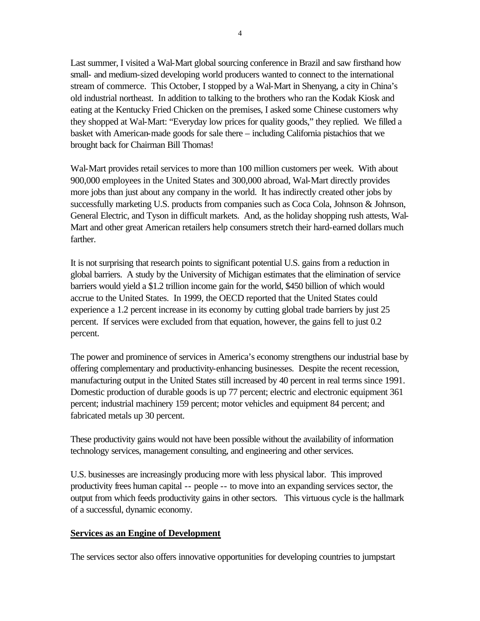Last summer, I visited a Wal-Mart global sourcing conference in Brazil and saw firsthand how small- and medium-sized developing world producers wanted to connect to the international stream of commerce. This October, I stopped by a Wal-Mart in Shenyang, a city in China's old industrial northeast. In addition to talking to the brothers who ran the Kodak Kiosk and eating at the Kentucky Fried Chicken on the premises, I asked some Chinese customers why they shopped at Wal-Mart: "Everyday low prices for quality goods," they replied. We filled a basket with American-made goods for sale there – including California pistachios that we brought back for Chairman Bill Thomas!

Wal-Mart provides retail services to more than 100 million customers per week. With about 900,000 employees in the United States and 300,000 abroad, Wal-Mart directly provides more jobs than just about any company in the world. It has indirectly created other jobs by successfully marketing U.S. products from companies such as Coca Cola, Johnson & Johnson, General Electric, and Tyson in difficult markets. And, as the holiday shopping rush attests, Wal-Mart and other great American retailers help consumers stretch their hard-earned dollars much farther.

It is not surprising that research points to significant potential U.S. gains from a reduction in global barriers. A study by the University of Michigan estimates that the elimination of service barriers would yield a \$1.2 trillion income gain for the world, \$450 billion of which would accrue to the United States. In 1999, the OECD reported that the United States could experience a 1.2 percent increase in its economy by cutting global trade barriers by just 25 percent. If services were excluded from that equation, however, the gains fell to just 0.2 percent.

The power and prominence of services in America's economy strengthens our industrial base by offering complementary and productivity-enhancing businesses. Despite the recent recession, manufacturing output in the United States still increased by 40 percent in real terms since 1991. Domestic production of durable goods is up 77 percent; electric and electronic equipment 361 percent; industrial machinery 159 percent; motor vehicles and equipment 84 percent; and fabricated metals up 30 percent.

These productivity gains would not have been possible without the availability of information technology services, management consulting, and engineering and other services.

U.S. businesses are increasingly producing more with less physical labor. This improved productivity frees human capital -- people -- to move into an expanding services sector, the output from which feeds productivity gains in other sectors. This virtuous cycle is the hallmark of a successful, dynamic economy.

#### **Services as an Engine of Development**

The services sector also offers innovative opportunities for developing countries to jumpstart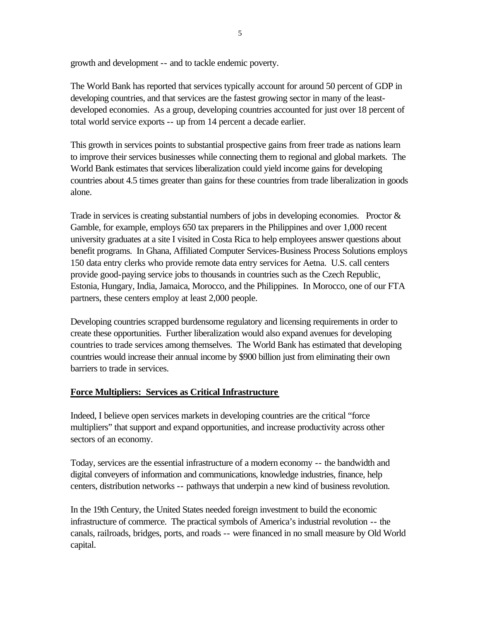growth and development -- and to tackle endemic poverty.

The World Bank has reported that services typically account for around 50 percent of GDP in developing countries, and that services are the fastest growing sector in many of the leastdeveloped economies. As a group, developing countries accounted for just over 18 percent of total world service exports -- up from 14 percent a decade earlier.

This growth in services points to substantial prospective gains from freer trade as nations learn to improve their services businesses while connecting them to regional and global markets. The World Bank estimates that services liberalization could yield income gains for developing countries about 4.5 times greater than gains for these countries from trade liberalization in goods alone.

Trade in services is creating substantial numbers of jobs in developing economies. Proctor & Gamble, for example, employs 650 tax preparers in the Philippines and over 1,000 recent university graduates at a site I visited in Costa Rica to help employees answer questions about benefit programs. In Ghana, Affiliated Computer Services-Business Process Solutions employs 150 data entry clerks who provide remote data entry services for Aetna. U.S. call centers provide good-paying service jobs to thousands in countries such as the Czech Republic, Estonia, Hungary, India, Jamaica, Morocco, and the Philippines. In Morocco, one of our FTA partners, these centers employ at least 2,000 people.

Developing countries scrapped burdensome regulatory and licensing requirements in order to create these opportunities. Further liberalization would also expand avenues for developing countries to trade services among themselves. The World Bank has estimated that developing countries would increase their annual income by \$900 billion just from eliminating their own barriers to trade in services.

#### **Force Multipliers: Services as Critical Infrastructure**

Indeed, I believe open services markets in developing countries are the critical "force multipliers" that support and expand opportunities, and increase productivity across other sectors of an economy.

Today, services are the essential infrastructure of a modern economy -- the bandwidth and digital conveyers of information and communications, knowledge industries, finance, help centers, distribution networks -- pathways that underpin a new kind of business revolution.

In the 19th Century, the United States needed foreign investment to build the economic infrastructure of commerce. The practical symbols of America's industrial revolution -- the canals, railroads, bridges, ports, and roads -- were financed in no small measure by Old World capital.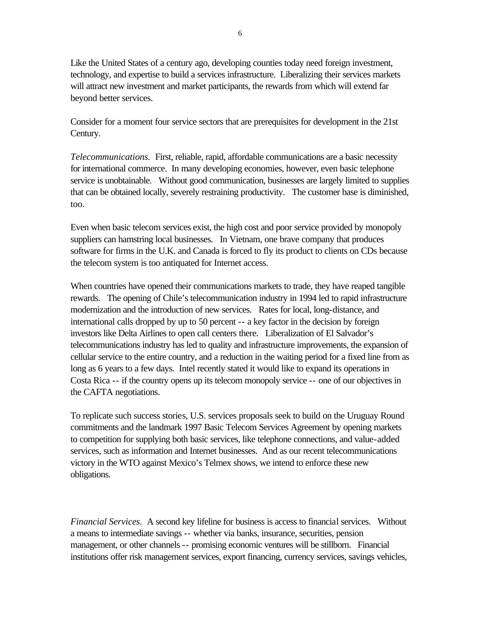Like the United States of a century ago, developing counties today need foreign investment, technology, and expertise to build a services infrastructure. Liberalizing their services markets will attract new investment and market participants, the rewards from which will extend far beyond better services.

Consider for a moment four service sectors that are prerequisites for development in the 21st Century.

*Telecommunications.* First, reliable, rapid, affordable communications are a basic necessity for international commerce. In many developing economies, however, even basic telephone service is unobtainable. Without good communication, businesses are largely limited to supplies that can be obtained locally, severely restraining productivity. The customer base is diminished, too.

Even when basic telecom services exist, the high cost and poor service provided by monopoly suppliers can hamstring local businesses. In Vietnam, one brave company that produces software for firms in the U.K. and Canada is forced to fly its product to clients on CDs because the telecom system is too antiquated for Internet access.

When countries have opened their communications markets to trade, they have reaped tangible rewards. The opening of Chile's telecommunication industry in 1994 led to rapid infrastructure modernization and the introduction of new services. Rates for local, long-distance, and international calls dropped by up to 50 percent -- a key factor in the decision by foreign investors like Delta Airlines to open call centers there. Liberalization of El Salvador's telecommunications industry has led to quality and infrastructure improvements, the expansion of cellular service to the entire country, and a reduction in the waiting period for a fixed line from as long as 6 years to a few days. Intel recently stated it would like to expand its operations in Costa Rica -- if the country opens up its telecom monopoly service -- one of our objectives in the CAFTA negotiations.

To replicate such success stories, U.S. services proposals seek to build on the Uruguay Round commitments and the landmark 1997 Basic Telecom Services Agreement by opening markets to competition for supplying both basic services, like telephone connections, and value-added services, such as information and Internet businesses. And as our recent telecommunications victory in the WTO against Mexico's Telmex shows, we intend to enforce these new obligations.

*Financial Services.* A second key lifeline for business is access to financial services. Without a means to intermediate savings -- whether via banks, insurance, securities, pension management, or other channels -- promising economic ventures will be stillborn. Financial institutions offer risk management services, export financing, currency services, savings vehicles,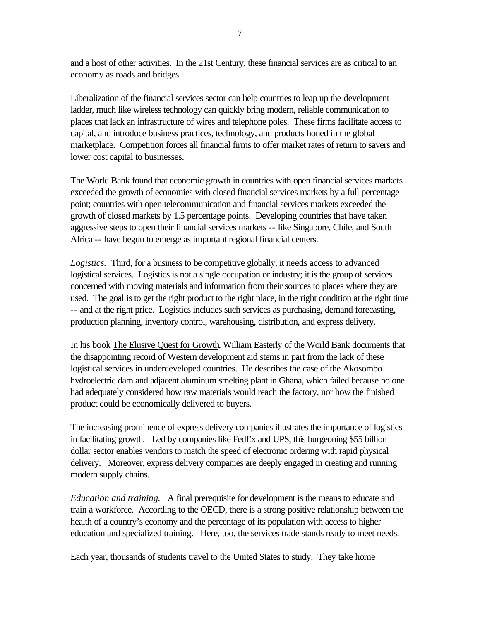and a host of other activities. In the 21st Century, these financial services are as critical to an economy as roads and bridges.

Liberalization of the financial services sector can help countries to leap up the development ladder, much like wireless technology can quickly bring modern, reliable communication to places that lack an infrastructure of wires and telephone poles. These firms facilitate access to capital, and introduce business practices, technology, and products honed in the global marketplace. Competition forces all financial firms to offer market rates of return to savers and lower cost capital to businesses.

The World Bank found that economic growth in countries with open financial services markets exceeded the growth of economies with closed financial services markets by a full percentage point; countries with open telecommunication and financial services markets exceeded the growth of closed markets by 1.5 percentage points. Developing countries that have taken aggressive steps to open their financial services markets -- like Singapore, Chile, and South Africa -- have begun to emerge as important regional financial centers.

*Logistics.* Third, for a business to be competitive globally, it needs access to advanced logistical services. Logistics is not a single occupation or industry; it is the group of services concerned with moving materials and information from their sources to places where they are used. The goal is to get the right product to the right place, in the right condition at the right time -- and at the right price. Logistics includes such services as purchasing, demand forecasting, production planning, inventory control, warehousing, distribution, and express delivery.

In his book The Elusive Quest for Growth, William Easterly of the World Bank documents that the disappointing record of Western development aid stems in part from the lack of these logistical services in underdeveloped countries. He describes the case of the Akosombo hydroelectric dam and adjacent aluminum smelting plant in Ghana, which failed because no one had adequately considered how raw materials would reach the factory, nor how the finished product could be economically delivered to buyers.

The increasing prominence of express delivery companies illustrates the importance of logistics in facilitating growth. Led by companies like FedEx and UPS, this burgeoning \$55 billion dollar sector enables vendors to match the speed of electronic ordering with rapid physical delivery. Moreover, express delivery companies are deeply engaged in creating and running modern supply chains.

*Education and training.* A final prerequisite for development is the means to educate and train a workforce. According to the OECD, there is a strong positive relationship between the health of a country's economy and the percentage of its population with access to higher education and specialized training. Here, too, the services trade stands ready to meet needs.

Each year, thousands of students travel to the United States to study. They take home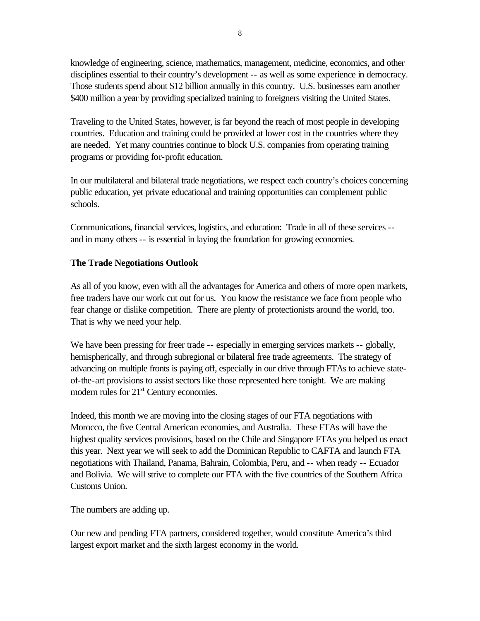knowledge of engineering, science, mathematics, management, medicine, economics, and other disciplines essential to their country's development -- as well as some experience in democracy. Those students spend about \$12 billion annually in this country. U.S. businesses earn another \$400 million a year by providing specialized training to foreigners visiting the United States.

Traveling to the United States, however, is far beyond the reach of most people in developing countries. Education and training could be provided at lower cost in the countries where they are needed. Yet many countries continue to block U.S. companies from operating training programs or providing for-profit education.

In our multilateral and bilateral trade negotiations, we respect each country's choices concerning public education, yet private educational and training opportunities can complement public schools.

Communications, financial services, logistics, and education: Trade in all of these services - and in many others -- is essential in laying the foundation for growing economies.

### **The Trade Negotiations Outlook**

As all of you know, even with all the advantages for America and others of more open markets, free traders have our work cut out for us. You know the resistance we face from people who fear change or dislike competition. There are plenty of protectionists around the world, too. That is why we need your help.

We have been pressing for freer trade -- especially in emerging services markets -- globally, hemispherically, and through subregional or bilateral free trade agreements. The strategy of advancing on multiple fronts is paying off, especially in our drive through FTAs to achieve stateof-the-art provisions to assist sectors like those represented here tonight. We are making modern rules for  $21<sup>st</sup>$  Century economies.

Indeed, this month we are moving into the closing stages of our FTA negotiations with Morocco, the five Central American economies, and Australia. These FTAs will have the highest quality services provisions, based on the Chile and Singapore FTAs you helped us enact this year. Next year we will seek to add the Dominican Republic to CAFTA and launch FTA negotiations with Thailand, Panama, Bahrain, Colombia, Peru, and -- when ready -- Ecuador and Bolivia. We will strive to complete our FTA with the five countries of the Southern Africa Customs Union.

The numbers are adding up.

Our new and pending FTA partners, considered together, would constitute America's third largest export market and the sixth largest economy in the world.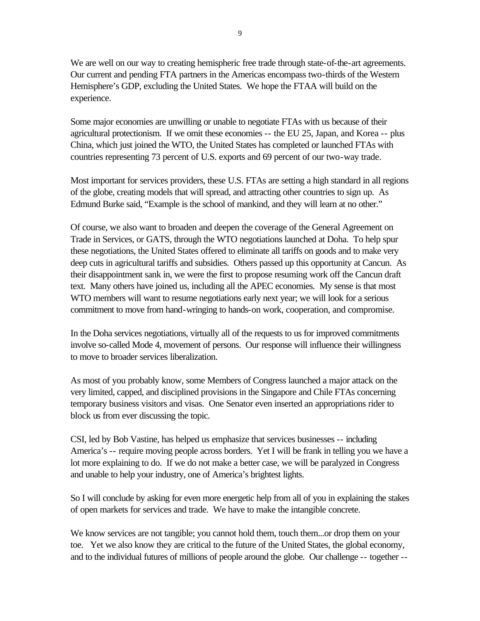We are well on our way to creating hemispheric free trade through state-of-the-art agreements. Our current and pending FTA partners in the Americas encompass two-thirds of the Western Hemisphere's GDP, excluding the United States. We hope the FTAA will build on the experience.

Some major economies are unwilling or unable to negotiate FTAs with us because of their agricultural protectionism. If we omit these economies -- the EU 25, Japan, and Korea -- plus China, which just joined the WTO, the United States has completed or launched FTAs with countries representing 73 percent of U.S. exports and 69 percent of our two-way trade.

Most important for services providers, these U.S. FTAs are setting a high standard in all regions of the globe, creating models that will spread, and attracting other countries to sign up. As Edmund Burke said, "Example is the school of mankind, and they will learn at no other."

Of course, we also want to broaden and deepen the coverage of the General Agreement on Trade in Services, or GATS, through the WTO negotiations launched at Doha. To help spur these negotiations, the United States offered to eliminate all tariffs on goods and to make very deep cuts in agricultural tariffs and subsidies. Others passed up this opportunity at Cancun. As their disappointment sank in, we were the first to propose resuming work off the Cancun draft text. Many others have joined us, including all the APEC economies. My sense is that most WTO members will want to resume negotiations early next year; we will look for a serious commitment to move from hand-wringing to hands-on work, cooperation, and compromise.

In the Doha services negotiations, virtually all of the requests to us for improved commitments involve so-called Mode 4, movement of persons. Our response will influence their willingness to move to broader services liberalization.

As most of you probably know, some Members of Congress launched a major attack on the very limited, capped, and disciplined provisions in the Singapore and Chile FTAs concerning temporary business visitors and visas. One Senator even inserted an appropriations rider to block us from ever discussing the topic.

CSI, led by Bob Vastine, has helped us emphasize that services businesses -- including America's -- require moving people across borders. Yet I will be frank in telling you we have a lot more explaining to do. If we do not make a better case, we will be paralyzed in Congress and unable to help your industry, one of America's brightest lights.

So I will conclude by asking for even more energetic help from all of you in explaining the stakes of open markets for services and trade. We have to make the intangible concrete.

We know services are not tangible; you cannot hold them, touch them...or drop them on your toe. Yet we also know they are critical to the future of the United States, the global economy, and to the individual futures of millions of people around the globe. Our challenge -- together --